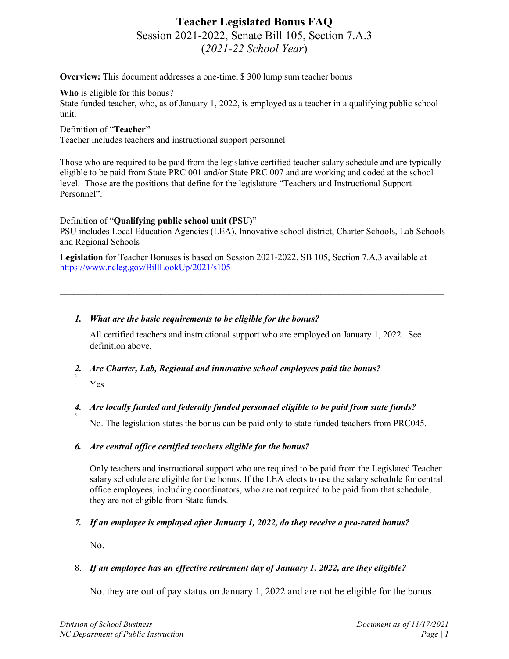# **Teacher Legislated Bonus FAQ** Session 2021-2022, Senate Bill 105, Section 7.A.3 (*2021-22 School Year*)

**Overview:** This document addresses a one-time, \$300 lump sum teacher bonus

**Who** is eligible for this bonus?

State funded teacher, who, as of January 1, 2022, is employed as a teacher in a qualifying public school unit.

Definition of "**Teacher"**

Teacher includes teachers and instructional support personnel

Those who are required to be paid from the legislative certified teacher salary schedule and are typically eligible to be paid from State PRC 001 and/or State PRC 007 and are working and coded at the school level. Those are the positions that define for the legislature "Teachers and Instructional Support Personnel".

# Definition of "**Qualifying public school unit (PSU)**"

PSU includes Local Education Agencies (LEA), Innovative school district, Charter Schools, Lab Schools and Regional Schools

 $\mathcal{L}_\text{max}$  , and the contract of the contract of the contract of the contract of the contract of the contract of

**Legislation** for Teacher Bonuses is based on Session 2021-2022, SB 105, Section 7.A.3 available at <https://www.ncleg.gov/BillLookUp/2021/s105>

# *1. What are the basic requirements to be eligible for the bonus?*

All certified teachers and instructional support who are employed on January 1, 2022. See definition above.

*2. Are Charter, Lab, Regional and innovative school employees paid the bonus?* 3. Yes

# *4. Are locally funded and federally funded personnel eligible to be paid from state funds?*

No. The legislation states the bonus can be paid only to state funded teachers from PRC045.

# *6. Are central office certified teachers eligible for the bonus?*

Only teachers and instructional support who are required to be paid from the Legislated Teacher salary schedule are eligible for the bonus. If the LEA elects to use the salary schedule for central office employees, including coordinators, who are not required to be paid from that schedule, they are not eligible from State funds.

# *7. If an employee is employed after January 1, 2022, do they receive a pro-rated bonus?*

No.

5.

# 8. *If an employee has an effective retirement day of January 1, 2022, are they eligible?*

No. they are out of pay status on January 1, 2022 and are not be eligible for the bonus.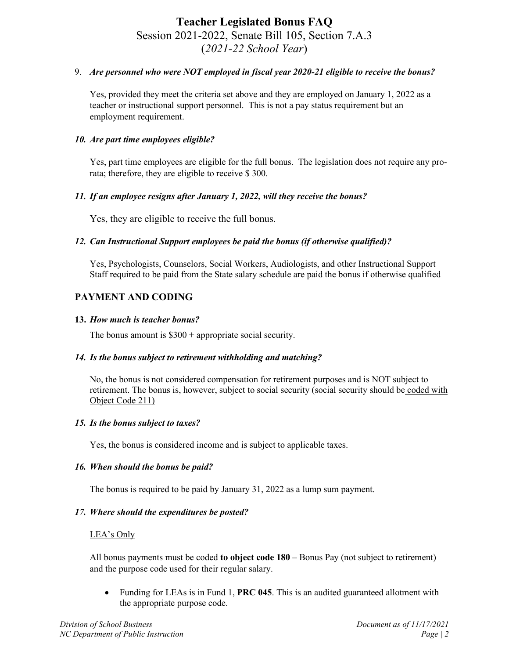# **Teacher Legislated Bonus FAQ** Session 2021-2022, Senate Bill 105, Section 7.A.3 (*2021-22 School Year*)

# 9. *Are personnel who were NOT employed in fiscal year 2020-21 eligible to receive the bonus?*

Yes, provided they meet the criteria set above and they are employed on January 1, 2022 as a teacher or instructional support personnel. This is not a pay status requirement but an employment requirement.

# *10. Are part time employees eligible?*

Yes, part time employees are eligible for the full bonus. The legislation does not require any prorata; therefore, they are eligible to receive \$ 300.

# *11. If an employee resigns after January 1, 2022, will they receive the bonus?*

Yes, they are eligible to receive the full bonus.

# *12. Can Instructional Support employees be paid the bonus (if otherwise qualified)?*

Yes, Psychologists, Counselors, Social Workers, Audiologists, and other Instructional Support Staff required to be paid from the State salary schedule are paid the bonus if otherwise qualified

# **PAYMENT AND CODING**

#### **13.** *How much is teacher bonus?*

The bonus amount is  $$300 + appropriate social security.$ 

#### *14. Is the bonus subject to retirement withholding and matching?*

No, the bonus is not considered compensation for retirement purposes and is NOT subject to retirement. The bonus is, however, subject to social security (social security should be coded with Object Code 211)

#### *15. Is the bonus subject to taxes?*

Yes, the bonus is considered income and is subject to applicable taxes.

#### *16. When should the bonus be paid?*

The bonus is required to be paid by January 31, 2022 as a lump sum payment.

### *17. Where should the expenditures be posted?*

#### LEA's Only

All bonus payments must be coded **to object code 180** – Bonus Pay (not subject to retirement) and the purpose code used for their regular salary.

• Funding for LEAs is in Fund 1, **PRC 045**. This is an audited guaranteed allotment with the appropriate purpose code.